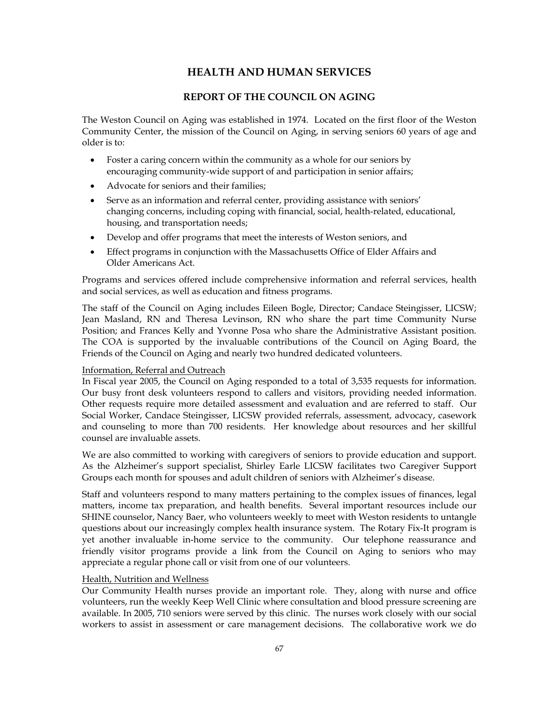# **HEALTH AND HUMAN SERVICES**

# **REPORT OF THE COUNCIL ON AGING**

The Weston Council on Aging was established in 1974. Located on the first floor of the Weston Community Center, the mission of the Council on Aging, in serving seniors 60 years of age and older is to:

- Foster a caring concern within the community as a whole for our seniors by encouraging community-wide support of and participation in senior affairs;
- Advocate for seniors and their families;
- Serve as an information and referral center, providing assistance with seniors' changing concerns, including coping with financial, social, health-related, educational, housing, and transportation needs;
- Develop and offer programs that meet the interests of Weston seniors, and
- Effect programs in conjunction with the Massachusetts Office of Elder Affairs and Older Americans Act.

Programs and services offered include comprehensive information and referral services, health and social services, as well as education and fitness programs.

The staff of the Council on Aging includes Eileen Bogle, Director; Candace Steingisser, LICSW; Jean Masland, RN and Theresa Levinson, RN who share the part time Community Nurse Position; and Frances Kelly and Yvonne Posa who share the Administrative Assistant position. The COA is supported by the invaluable contributions of the Council on Aging Board, the Friends of the Council on Aging and nearly two hundred dedicated volunteers.

## Information, Referral and Outreach

In Fiscal year 2005, the Council on Aging responded to a total of 3,535 requests for information. Our busy front desk volunteers respond to callers and visitors, providing needed information. Other requests require more detailed assessment and evaluation and are referred to staff. Our Social Worker, Candace Steingisser, LICSW provided referrals, assessment, advocacy, casework and counseling to more than 700 residents. Her knowledge about resources and her skillful counsel are invaluable assets.

We are also committed to working with caregivers of seniors to provide education and support. As the Alzheimer's support specialist, Shirley Earle LICSW facilitates two Caregiver Support Groups each month for spouses and adult children of seniors with Alzheimer's disease.

Staff and volunteers respond to many matters pertaining to the complex issues of finances, legal matters, income tax preparation, and health benefits. Several important resources include our SHINE counselor, Nancy Baer, who volunteers weekly to meet with Weston residents to untangle questions about our increasingly complex health insurance system. The Rotary Fix-It program is yet another invaluable in-home service to the community. Our telephone reassurance and friendly visitor programs provide a link from the Council on Aging to seniors who may appreciate a regular phone call or visit from one of our volunteers.

### Health, Nutrition and Wellness

Our Community Health nurses provide an important role. They, along with nurse and office volunteers, run the weekly Keep Well Clinic where consultation and blood pressure screening are available. In 2005, 710 seniors were served by this clinic. The nurses work closely with our social workers to assist in assessment or care management decisions. The collaborative work we do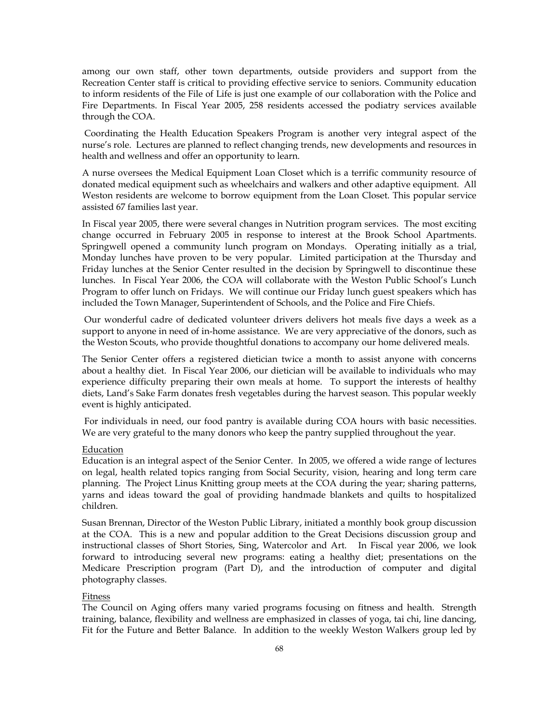among our own staff, other town departments, outside providers and support from the Recreation Center staff is critical to providing effective service to seniors. Community education to inform residents of the File of Life is just one example of our collaboration with the Police and Fire Departments. In Fiscal Year 2005, 258 residents accessed the podiatry services available through the COA.

 Coordinating the Health Education Speakers Program is another very integral aspect of the nurse's role. Lectures are planned to reflect changing trends, new developments and resources in health and wellness and offer an opportunity to learn.

A nurse oversees the Medical Equipment Loan Closet which is a terrific community resource of donated medical equipment such as wheelchairs and walkers and other adaptive equipment. All Weston residents are welcome to borrow equipment from the Loan Closet. This popular service assisted 67 families last year.

In Fiscal year 2005, there were several changes in Nutrition program services. The most exciting change occurred in February 2005 in response to interest at the Brook School Apartments. Springwell opened a community lunch program on Mondays. Operating initially as a trial, Monday lunches have proven to be very popular. Limited participation at the Thursday and Friday lunches at the Senior Center resulted in the decision by Springwell to discontinue these lunches. In Fiscal Year 2006, the COA will collaborate with the Weston Public School's Lunch Program to offer lunch on Fridays. We will continue our Friday lunch guest speakers which has included the Town Manager, Superintendent of Schools, and the Police and Fire Chiefs.

 Our wonderful cadre of dedicated volunteer drivers delivers hot meals five days a week as a support to anyone in need of in-home assistance. We are very appreciative of the donors, such as the Weston Scouts, who provide thoughtful donations to accompany our home delivered meals.

The Senior Center offers a registered dietician twice a month to assist anyone with concerns about a healthy diet. In Fiscal Year 2006, our dietician will be available to individuals who may experience difficulty preparing their own meals at home. To support the interests of healthy diets, Land's Sake Farm donates fresh vegetables during the harvest season. This popular weekly event is highly anticipated.

 For individuals in need, our food pantry is available during COA hours with basic necessities. We are very grateful to the many donors who keep the pantry supplied throughout the year.

### Education

Education is an integral aspect of the Senior Center. In 2005, we offered a wide range of lectures on legal, health related topics ranging from Social Security, vision, hearing and long term care planning. The Project Linus Knitting group meets at the COA during the year; sharing patterns, yarns and ideas toward the goal of providing handmade blankets and quilts to hospitalized children.

Susan Brennan, Director of the Weston Public Library, initiated a monthly book group discussion at the COA. This is a new and popular addition to the Great Decisions discussion group and instructional classes of Short Stories, Sing, Watercolor and Art. In Fiscal year 2006, we look forward to introducing several new programs: eating a healthy diet; presentations on the Medicare Prescription program (Part D), and the introduction of computer and digital photography classes.

#### Fitness

The Council on Aging offers many varied programs focusing on fitness and health. Strength training, balance, flexibility and wellness are emphasized in classes of yoga, tai chi, line dancing, Fit for the Future and Better Balance. In addition to the weekly Weston Walkers group led by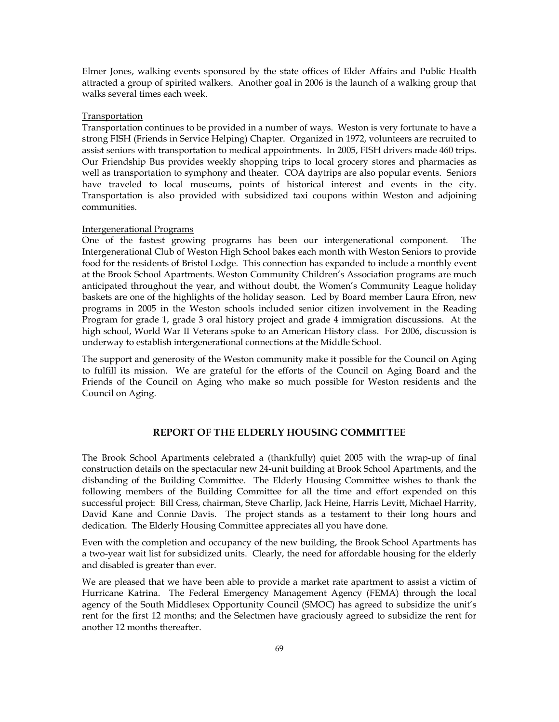Elmer Jones, walking events sponsored by the state offices of Elder Affairs and Public Health attracted a group of spirited walkers. Another goal in 2006 is the launch of a walking group that walks several times each week.

### Transportation

Transportation continues to be provided in a number of ways. Weston is very fortunate to have a strong FISH (Friends in Service Helping) Chapter. Organized in 1972, volunteers are recruited to assist seniors with transportation to medical appointments. In 2005, FISH drivers made 460 trips. Our Friendship Bus provides weekly shopping trips to local grocery stores and pharmacies as well as transportation to symphony and theater. COA daytrips are also popular events. Seniors have traveled to local museums, points of historical interest and events in the city. Transportation is also provided with subsidized taxi coupons within Weston and adjoining communities.

#### Intergenerational Programs

One of the fastest growing programs has been our intergenerational component. The Intergenerational Club of Weston High School bakes each month with Weston Seniors to provide food for the residents of Bristol Lodge. This connection has expanded to include a monthly event at the Brook School Apartments. Weston Community Children's Association programs are much anticipated throughout the year, and without doubt, the Women's Community League holiday baskets are one of the highlights of the holiday season. Led by Board member Laura Efron, new programs in 2005 in the Weston schools included senior citizen involvement in the Reading Program for grade 1, grade 3 oral history project and grade 4 immigration discussions. At the high school, World War II Veterans spoke to an American History class. For 2006, discussion is underway to establish intergenerational connections at the Middle School.

The support and generosity of the Weston community make it possible for the Council on Aging to fulfill its mission. We are grateful for the efforts of the Council on Aging Board and the Friends of the Council on Aging who make so much possible for Weston residents and the Council on Aging.

### **REPORT OF THE ELDERLY HOUSING COMMITTEE**

The Brook School Apartments celebrated a (thankfully) quiet 2005 with the wrap-up of final construction details on the spectacular new 24-unit building at Brook School Apartments, and the disbanding of the Building Committee. The Elderly Housing Committee wishes to thank the following members of the Building Committee for all the time and effort expended on this successful project: Bill Cress, chairman, Steve Charlip, Jack Heine, Harris Levitt, Michael Harrity, David Kane and Connie Davis. The project stands as a testament to their long hours and dedication. The Elderly Housing Committee appreciates all you have done.

Even with the completion and occupancy of the new building, the Brook School Apartments has a two-year wait list for subsidized units. Clearly, the need for affordable housing for the elderly and disabled is greater than ever.

We are pleased that we have been able to provide a market rate apartment to assist a victim of Hurricane Katrina. The Federal Emergency Management Agency (FEMA) through the local agency of the South Middlesex Opportunity Council (SMOC) has agreed to subsidize the unit's rent for the first 12 months; and the Selectmen have graciously agreed to subsidize the rent for another 12 months thereafter.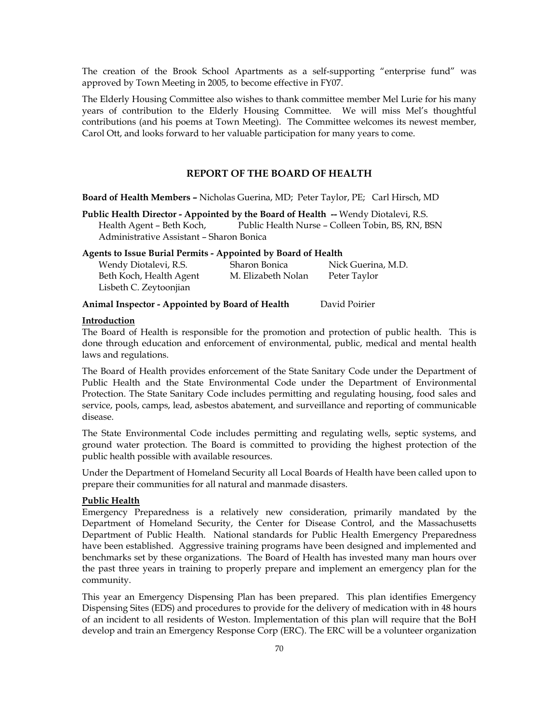The creation of the Brook School Apartments as a self-supporting "enterprise fund" was approved by Town Meeting in 2005, to become effective in FY07.

The Elderly Housing Committee also wishes to thank committee member Mel Lurie for his many years of contribution to the Elderly Housing Committee. We will miss Mel's thoughtful contributions (and his poems at Town Meeting). The Committee welcomes its newest member, Carol Ott, and looks forward to her valuable participation for many years to come.

## **REPORT OF THE BOARD OF HEALTH**

**Board of Health Members –** Nicholas Guerina, MD; Peter Taylor, PE; Carl Hirsch, MD

**Public Health Director - Appointed by the Board of Health --** Wendy Diotalevi, R.S. Health Agent – Beth Koch, Public Health Nurse – Colleen Tobin, BS, RN, BSN Administrative Assistant – Sharon Bonica

| <b>Agents to Issue Burial Permits - Appointed by Board of Health</b> |                    |                    |  |  |  |
|----------------------------------------------------------------------|--------------------|--------------------|--|--|--|
| Wendy Diotalevi, R.S.                                                | Sharon Bonica      | Nick Guerina, M.D. |  |  |  |
| Beth Koch, Health Agent                                              | M. Elizabeth Nolan | Peter Taylor       |  |  |  |
| Lisbeth C. Zeytoonjian                                               |                    |                    |  |  |  |
|                                                                      |                    |                    |  |  |  |

**Animal Inspector - Appointed by Board of Health** David Poirier

## **Introduction**

The Board of Health is responsible for the promotion and protection of public health. This is done through education and enforcement of environmental, public, medical and mental health laws and regulations.

The Board of Health provides enforcement of the State Sanitary Code under the Department of Public Health and the State Environmental Code under the Department of Environmental Protection. The State Sanitary Code includes permitting and regulating housing, food sales and service, pools, camps, lead, asbestos abatement, and surveillance and reporting of communicable disease.

The State Environmental Code includes permitting and regulating wells, septic systems, and ground water protection. The Board is committed to providing the highest protection of the public health possible with available resources.

Under the Department of Homeland Security all Local Boards of Health have been called upon to prepare their communities for all natural and manmade disasters.

#### **Public Health**

Emergency Preparedness is a relatively new consideration, primarily mandated by the Department of Homeland Security, the Center for Disease Control, and the Massachusetts Department of Public Health. National standards for Public Health Emergency Preparedness have been established. Aggressive training programs have been designed and implemented and benchmarks set by these organizations. The Board of Health has invested many man hours over the past three years in training to properly prepare and implement an emergency plan for the community.

This year an Emergency Dispensing Plan has been prepared. This plan identifies Emergency Dispensing Sites (EDS) and procedures to provide for the delivery of medication with in 48 hours of an incident to all residents of Weston. Implementation of this plan will require that the BoH develop and train an Emergency Response Corp (ERC). The ERC will be a volunteer organization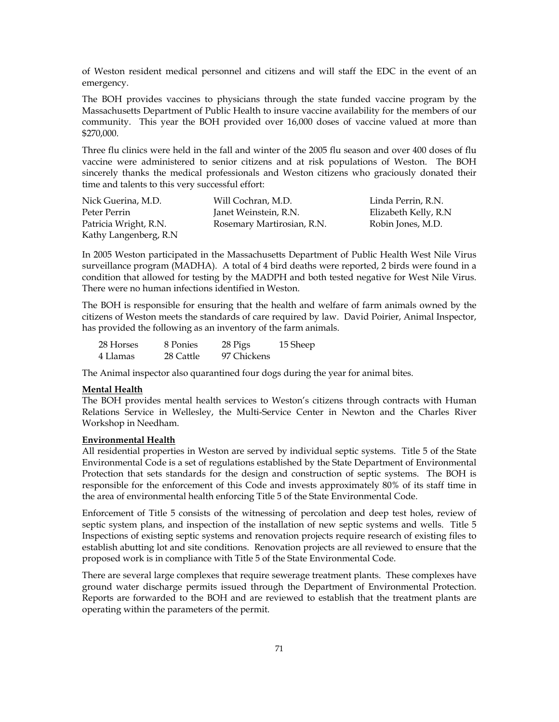of Weston resident medical personnel and citizens and will staff the EDC in the event of an emergency.

The BOH provides vaccines to physicians through the state funded vaccine program by the Massachusetts Department of Public Health to insure vaccine availability for the members of our community. This year the BOH provided over 16,000 doses of vaccine valued at more than \$270,000.

Three flu clinics were held in the fall and winter of the 2005 flu season and over 400 doses of flu vaccine were administered to senior citizens and at risk populations of Weston. The BOH sincerely thanks the medical professionals and Weston citizens who graciously donated their time and talents to this very successful effort:

| Nick Guerina, M.D.    | Will Cochran, M.D.         | Linda Perrin, R.N.   |
|-----------------------|----------------------------|----------------------|
| Peter Perrin          | Janet Weinstein, R.N.      | Elizabeth Kelly, R.N |
| Patricia Wright, R.N. | Rosemary Martirosian, R.N. | Robin Jones, M.D.    |
| Kathy Langenberg, R.N |                            |                      |

In 2005 Weston participated in the Massachusetts Department of Public Health West Nile Virus surveillance program (MADHA). A total of 4 bird deaths were reported, 2 birds were found in a condition that allowed for testing by the MADPH and both tested negative for West Nile Virus. There were no human infections identified in Weston.

The BOH is responsible for ensuring that the health and welfare of farm animals owned by the citizens of Weston meets the standards of care required by law. David Poirier, Animal Inspector, has provided the following as an inventory of the farm animals.

| 28 Horses | 8 Ponies  | 28 Pigs     | 15 Sheep |
|-----------|-----------|-------------|----------|
| 4 Llamas  | 28 Cattle | 97 Chickens |          |

The Animal inspector also quarantined four dogs during the year for animal bites.

### **Mental Health**

The BOH provides mental health services to Weston's citizens through contracts with Human Relations Service in Wellesley, the Multi-Service Center in Newton and the Charles River Workshop in Needham.

#### **Environmental Health**

All residential properties in Weston are served by individual septic systems. Title 5 of the State Environmental Code is a set of regulations established by the State Department of Environmental Protection that sets standards for the design and construction of septic systems. The BOH is responsible for the enforcement of this Code and invests approximately 80% of its staff time in the area of environmental health enforcing Title 5 of the State Environmental Code.

Enforcement of Title 5 consists of the witnessing of percolation and deep test holes, review of septic system plans, and inspection of the installation of new septic systems and wells. Title 5 Inspections of existing septic systems and renovation projects require research of existing files to establish abutting lot and site conditions. Renovation projects are all reviewed to ensure that the proposed work is in compliance with Title 5 of the State Environmental Code.

There are several large complexes that require sewerage treatment plants. These complexes have ground water discharge permits issued through the Department of Environmental Protection. Reports are forwarded to the BOH and are reviewed to establish that the treatment plants are operating within the parameters of the permit.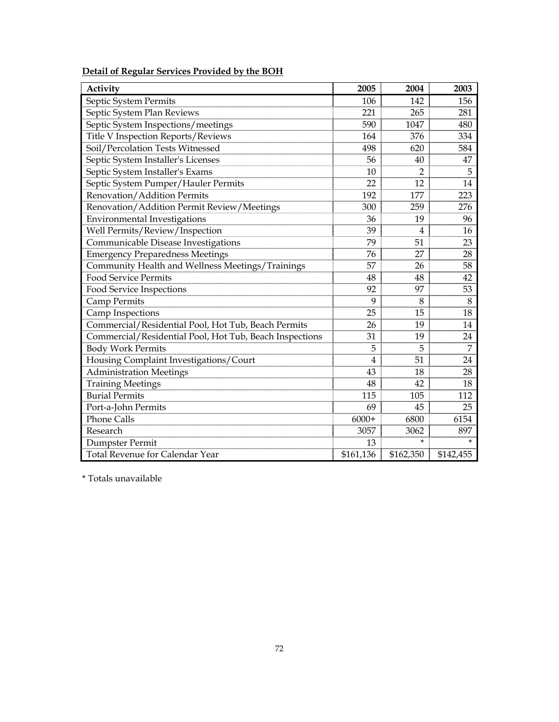| Activity                                                | 2005           | 2004           | 2003      |
|---------------------------------------------------------|----------------|----------------|-----------|
| Septic System Permits                                   | 106            | 142            | 156       |
| Septic System Plan Reviews                              | 221            | 265            | 281       |
| Septic System Inspections/meetings                      | 590            | 1047           | 480       |
| Title V Inspection Reports/Reviews                      | 164            | 376            | 334       |
| Soil/Percolation Tests Witnessed                        | 498            | 620            | 584       |
| Septic System Installer's Licenses                      | 56             | 40             | 47        |
| Septic System Installer's Exams                         | 10             | 2              | 5         |
| Septic System Pumper/Hauler Permits                     | 22             | 12             | 14        |
| Renovation/Addition Permits                             | 192            | 177            | 223       |
| Renovation/Addition Permit Review/Meetings              | 300            | 259            | 276       |
| <b>Environmental Investigations</b>                     | 36             | 19             | 96        |
| Well Permits/Review/Inspection                          | 39             | $\overline{4}$ | 16        |
| Communicable Disease Investigations                     | 79             | 51             | 23        |
| <b>Emergency Preparedness Meetings</b>                  | 76             | 27             | 28        |
| Community Health and Wellness Meetings/Trainings        | 57             | 26             | 58        |
| <b>Food Service Permits</b>                             | 48             | 48             | 42        |
| Food Service Inspections                                | 92             | 97             | 53        |
| Camp Permits                                            | 9              | 8              | 8         |
| Camp Inspections                                        | 25             | 15             | 18        |
| Commercial/Residential Pool, Hot Tub, Beach Permits     | 26             | 19             | 14        |
| Commercial/Residential Pool, Hot Tub, Beach Inspections | 31             | 19             | 24        |
| <b>Body Work Permits</b>                                | 5              | 5              | 7         |
| Housing Complaint Investigations/Court                  | $\overline{4}$ | 51             | 24        |
| <b>Administration Meetings</b>                          | 43             | 18             | 28        |
| <b>Training Meetings</b>                                | 48             | 42             | 18        |
| <b>Burial Permits</b>                                   | 115            | 105            | 112       |
| Port-a-John Permits                                     | 69             | 45             | 25        |
| <b>Phone Calls</b>                                      | $6000+$        | 6800           | 6154      |
| Research                                                | 3057           | 3062           | 897       |
| Dumpster Permit                                         | 13             | $\star$        | $\star$   |
| Total Revenue for Calendar Year                         | \$161,136      | \$162,350      | \$142,455 |

**Detail of Regular Services Provided by the BOH**

\* Totals unavailable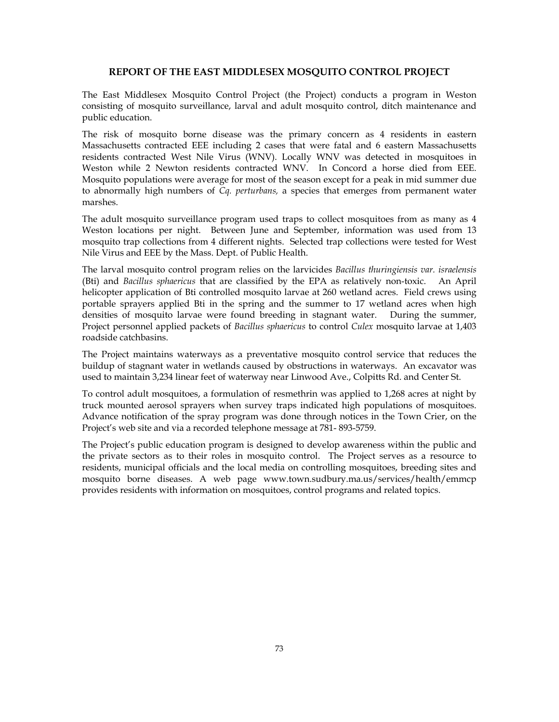### **REPORT OF THE EAST MIDDLESEX MOSQUITO CONTROL PROJECT**

The East Middlesex Mosquito Control Project (the Project) conducts a program in Weston consisting of mosquito surveillance, larval and adult mosquito control, ditch maintenance and public education.

The risk of mosquito borne disease was the primary concern as 4 residents in eastern Massachusetts contracted EEE including 2 cases that were fatal and 6 eastern Massachusetts residents contracted West Nile Virus (WNV). Locally WNV was detected in mosquitoes in Weston while 2 Newton residents contracted WNV. In Concord a horse died from EEE. Mosquito populations were average for most of the season except for a peak in mid summer due to abnormally high numbers of *Cq. perturbans,* a species that emerges from permanent water marshes.

The adult mosquito surveillance program used traps to collect mosquitoes from as many as 4 Weston locations per night. Between June and September, information was used from 13 mosquito trap collections from 4 different nights. Selected trap collections were tested for West Nile Virus and EEE by the Mass. Dept. of Public Health.

The larval mosquito control program relies on the larvicides *Bacillus thuringiensis var. israelensis*  (Bti) and *Bacillus sphaericus* that are classified by the EPA as relatively non-toxic. An April helicopter application of Bti controlled mosquito larvae at 260 wetland acres. Field crews using portable sprayers applied Bti in the spring and the summer to 17 wetland acres when high densities of mosquito larvae were found breeding in stagnant water. During the summer, Project personnel applied packets of *Bacillus sphaericus* to control *Culex* mosquito larvae at 1,403 roadside catchbasins.

The Project maintains waterways as a preventative mosquito control service that reduces the buildup of stagnant water in wetlands caused by obstructions in waterways. An excavator was used to maintain 3,234 linear feet of waterway near Linwood Ave., Colpitts Rd. and Center St.

To control adult mosquitoes, a formulation of resmethrin was applied to 1,268 acres at night by truck mounted aerosol sprayers when survey traps indicated high populations of mosquitoes. Advance notification of the spray program was done through notices in the Town Crier, on the Project's web site and via a recorded telephone message at 781- 893-5759.

The Project's public education program is designed to develop awareness within the public and the private sectors as to their roles in mosquito control. The Project serves as a resource to residents, municipal officials and the local media on controlling mosquitoes, breeding sites and mosquito borne diseases. A web page www.town.sudbury.ma.us/services/health/emmcp provides residents with information on mosquitoes, control programs and related topics.